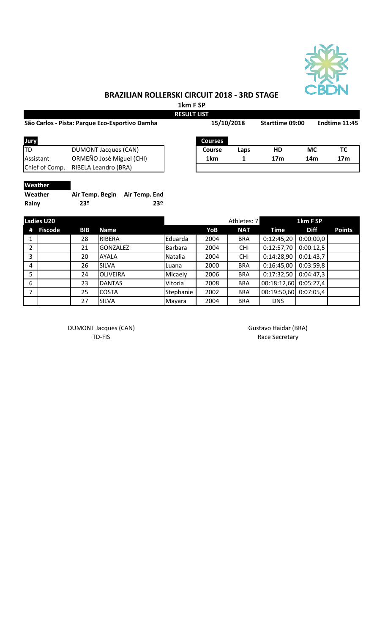

## **BRAZILIAN ROLLERSKI CIRCUIT 2018 - 3RD STAGE**

**1km F SP**

| São Carlos - Pista: Parque Eco-Esportivo Damha |                          | 15/10/2018     |      | Starttime 09:00 |           | Endtime 11:45   |  |
|------------------------------------------------|--------------------------|----------------|------|-----------------|-----------|-----------------|--|
| Jury                                           |                          | <b>Courses</b> |      |                 |           |                 |  |
| ltd                                            | DUMONT Jacques (CAN)     | <b>Course</b>  | Laps | HD              | <b>MC</b> | ТC              |  |
| Assistant                                      | ORMEÑO José Miguel (CHI) | 1km            |      | 17 <sub>m</sub> | 14m       | 17 <sub>m</sub> |  |
| Chief of Comp.                                 | RIBELA Leandro (BRA)     |                |      |                 |           |                 |  |
| <b>Weather</b>                                 |                          |                |      |                 |           |                 |  |

| Weather | Air Temp. Begin Air Temp. End |     |
|---------|-------------------------------|-----|
| Rainy   | 23º                           | 23º |

| <b>Ladies U20</b> |                |     |                 |           | Athletes: 7 | 1km F SP   |             |             |               |
|-------------------|----------------|-----|-----------------|-----------|-------------|------------|-------------|-------------|---------------|
| #                 | <b>Fiscode</b> | BIB | <b>Name</b>     |           | YoB         | <b>NAT</b> | Time        | <b>Diff</b> | <b>Points</b> |
|                   |                | 28  | RIBERA          | Eduarda   | 2004        | <b>BRA</b> | 0:12:45,20  | 0:00:00,0   |               |
| 2                 |                | 21  | <b>GONZALEZ</b> | Barbara   | 2004        | <b>CHI</b> | 0:12:57,70  | 0:00:12,5   |               |
| 3                 |                | 20  | <b>AYALA</b>    | Natalia   | 2004        | <b>CHI</b> | 0:14:28,90  | 0:01:43,7   |               |
| 4                 |                | 26  | <b>SILVA</b>    | Luana     | 2000        | <b>BRA</b> | 0:16:45,00  | 0:03:59,8   |               |
| 5                 |                | 24  | <b>OLIVEIRA</b> | Micaely   | 2006        | <b>BRA</b> | 0:17:32,50  | 0:04:47,3   |               |
| 6                 |                | 23  | <b>DANTAS</b>   | Vitoria   | 2008        | <b>BRA</b> | 00:18:12,60 | 0:05:27,4   |               |
| $\overline{ }$    |                | 25  | <b>COSTA</b>    | Stephanie | 2002        | <b>BRA</b> | 00:19:50,60 | 0:07:05,4   |               |
|                   |                | 27  | <b>SILVA</b>    | Mayara    | 2004        | <b>BRA</b> | <b>DNS</b>  |             |               |

DUMONT Jacques (CAN) and the control of the Gustavo Haidar (BRA) control of the Gustavo Haidar (BRA)

TD-FIS Race Secretary